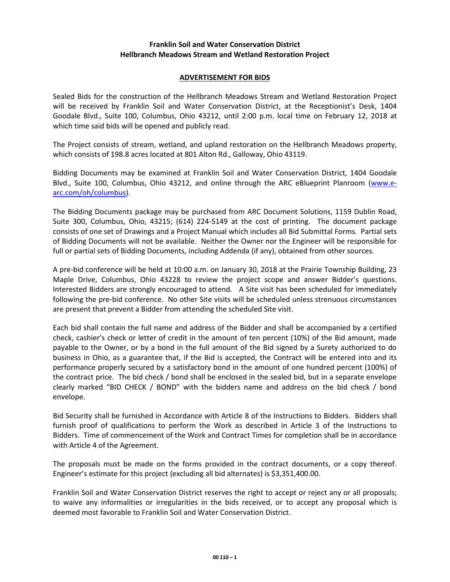## **Franklin Soil and Water Conservation District Hellbranch Meadows Stream and Wetland Restoration Project**

## **ADVERTISEMENT FOR BIDS**

Sealed Bids for the construction of the Hellbranch Meadows Stream and Wetland Restoration Project will be received by Franklin Soil and Water Conservation District, at the Receptionist's Desk, 1404 Goodale Blvd., Suite 100, Columbus, Ohio 43212, until 2:00 p.m. local time on February 12, 2018 at which time said bids will be opened and publicly read.

The Project consists of stream, wetland, and upland restoration on the Hellbranch Meadows property, which consists of 198.8 acres located at 801 Alton Rd., Galloway, Ohio 43119.

Bidding Documents may be examined at Franklin Soil and Water Conservation District, 1404 Goodale Blvd., Suite 100, Columbus, Ohio 43212, and online through the ARC eBlueprint Planroom [\(www.e](http://www.e-arc.com/oh/columbus)[arc.com/oh/columbus\)](http://www.e-arc.com/oh/columbus).

The Bidding Documents package may be purchased from ARC Document Solutions, 1159 Dublin Road, Suite 300, Columbus, Ohio, 43215; (614) 224-5149 at the cost of printing. The document package consists of one set of Drawings and a Project Manual which includes all Bid Submittal Forms. Partial sets of Bidding Documents will not be available. Neither the Owner nor the Engineer will be responsible for full or partial sets of Bidding Documents, including Addenda (if any), obtained from other sources.

A pre-bid conference will be held at 10:00 a.m. on January 30, 2018 at the Prairie Township Building, 23 Maple Drive, Columbus, Ohio 43228 to review the project scope and answer Bidder's questions. Interested Bidders are strongly encouraged to attend. A Site visit has been scheduled for immediately following the pre-bid conference. No other Site visits will be scheduled unless strenuous circumstances are present that prevent a Bidder from attending the scheduled Site visit.

Each bid shall contain the full name and address of the Bidder and shall be accompanied by a certified check, cashier's check or letter of credit in the amount of ten percent (10%) of the Bid amount, made payable to the Owner, or by a bond in the full amount of the Bid signed by a Surety authorized to do business in Ohio, as a guarantee that, if the Bid is accepted, the Contract will be entered into and its performance properly secured by a satisfactory bond in the amount of one hundred percent (100%) of the contract price. The bid check / bond shall be enclosed in the sealed bid, but in a separate envelope clearly marked "BID CHECK / BOND" with the bidders name and address on the bid check / bond envelope.

Bid Security shall be furnished in Accordance with Article 8 of the Instructions to Bidders. Bidders shall furnish proof of qualifications to perform the Work as described in Article 3 of the Instructions to Bidders. Time of commencement of the Work and Contract Times for completion shall be in accordance with Article 4 of the Agreement.

The proposals must be made on the forms provided in the contract documents, or a copy thereof. Engineer's estimate for this project (excluding all bid alternates) is \$3,351,400.00.

Franklin Soil and Water Conservation District reserves the right to accept or reject any or all proposals; to waive any informalities or irregularities in the bids received, or to accept any proposal which is deemed most favorable to Franklin Soil and Water Conservation District.